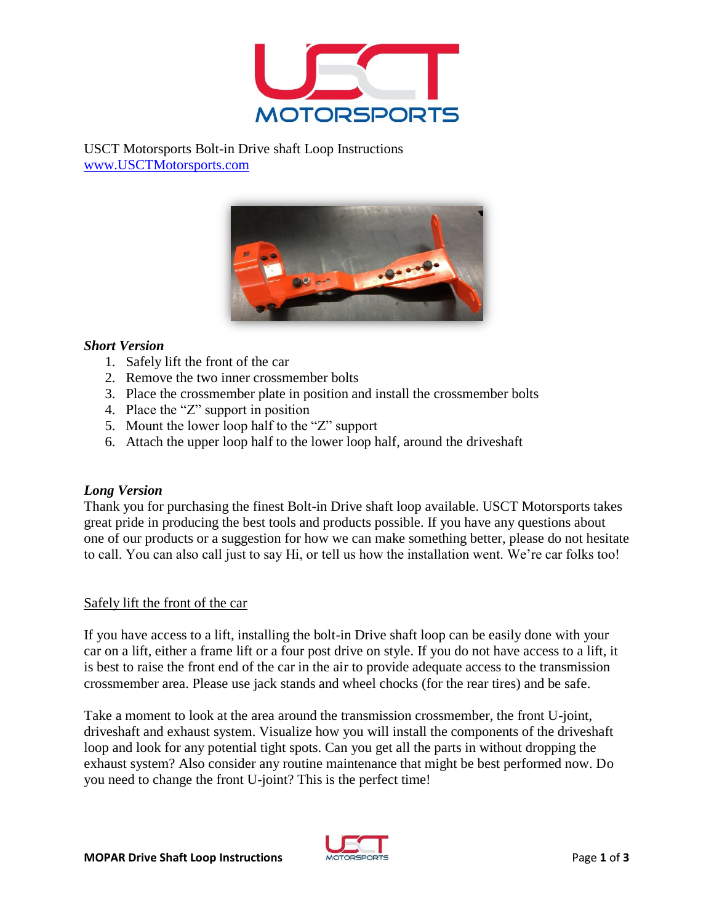

USCT Motorsports Bolt-in Drive shaft Loop Instructions [www.USCTMotorsports.com](http://www.usctmotorsports.com/)



## *Short Version*

- 1. Safely lift the front of the car
- 2. Remove the two inner crossmember bolts
- 3. Place the crossmember plate in position and install the crossmember bolts
- 4. Place the "Z" support in position
- 5. Mount the lower loop half to the "Z" support
- 6. Attach the upper loop half to the lower loop half, around the driveshaft

## *Long Version*

Thank you for purchasing the finest Bolt-in Drive shaft loop available. USCT Motorsports takes great pride in producing the best tools and products possible. If you have any questions about one of our products or a suggestion for how we can make something better, please do not hesitate to call. You can also call just to say Hi, or tell us how the installation went. We're car folks too!

## Safely lift the front of the car

If you have access to a lift, installing the bolt-in Drive shaft loop can be easily done with your car on a lift, either a frame lift or a four post drive on style. If you do not have access to a lift, it is best to raise the front end of the car in the air to provide adequate access to the transmission crossmember area. Please use jack stands and wheel chocks (for the rear tires) and be safe.

Take a moment to look at the area around the transmission crossmember, the front U-joint, driveshaft and exhaust system. Visualize how you will install the components of the driveshaft loop and look for any potential tight spots. Can you get all the parts in without dropping the exhaust system? Also consider any routine maintenance that might be best performed now. Do you need to change the front U-joint? This is the perfect time!

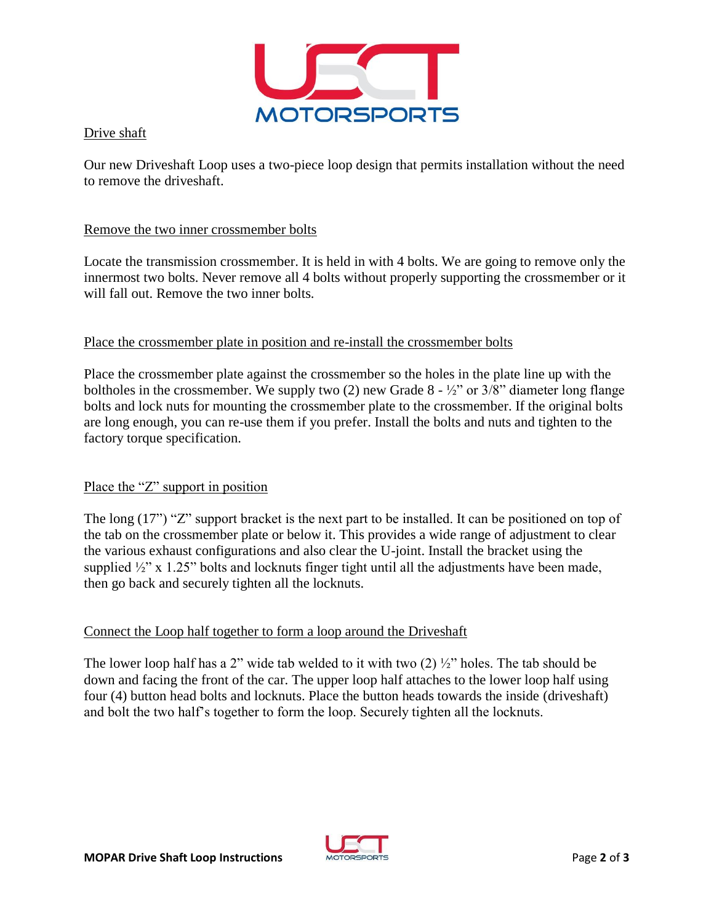

Drive shaft

Our new Driveshaft Loop uses a two-piece loop design that permits installation without the need to remove the driveshaft.

#### Remove the two inner crossmember bolts

Locate the transmission crossmember. It is held in with 4 bolts. We are going to remove only the innermost two bolts. Never remove all 4 bolts without properly supporting the crossmember or it will fall out. Remove the two inner bolts.

#### Place the crossmember plate in position and re-install the crossmember bolts

Place the crossmember plate against the crossmember so the holes in the plate line up with the boltholes in the crossmember. We supply two (2) new Grade  $8 - \frac{1}{2}$  or  $3/8$  diameter long flange bolts and lock nuts for mounting the crossmember plate to the crossmember. If the original bolts are long enough, you can re-use them if you prefer. Install the bolts and nuts and tighten to the factory torque specification.

## Place the "Z" support in position

The long (17") "Z" support bracket is the next part to be installed. It can be positioned on top of the tab on the crossmember plate or below it. This provides a wide range of adjustment to clear the various exhaust configurations and also clear the U-joint. Install the bracket using the supplied  $\frac{1}{2}$ " x 1.25" bolts and locknuts finger tight until all the adjustments have been made, then go back and securely tighten all the locknuts.

## Connect the Loop half together to form a loop around the Driveshaft

The lower loop half has a 2" wide tab welded to it with two  $(2)$   $\frac{1}{2}$ " holes. The tab should be down and facing the front of the car. The upper loop half attaches to the lower loop half using four (4) button head bolts and locknuts. Place the button heads towards the inside (driveshaft) and bolt the two half's together to form the loop. Securely tighten all the locknuts.